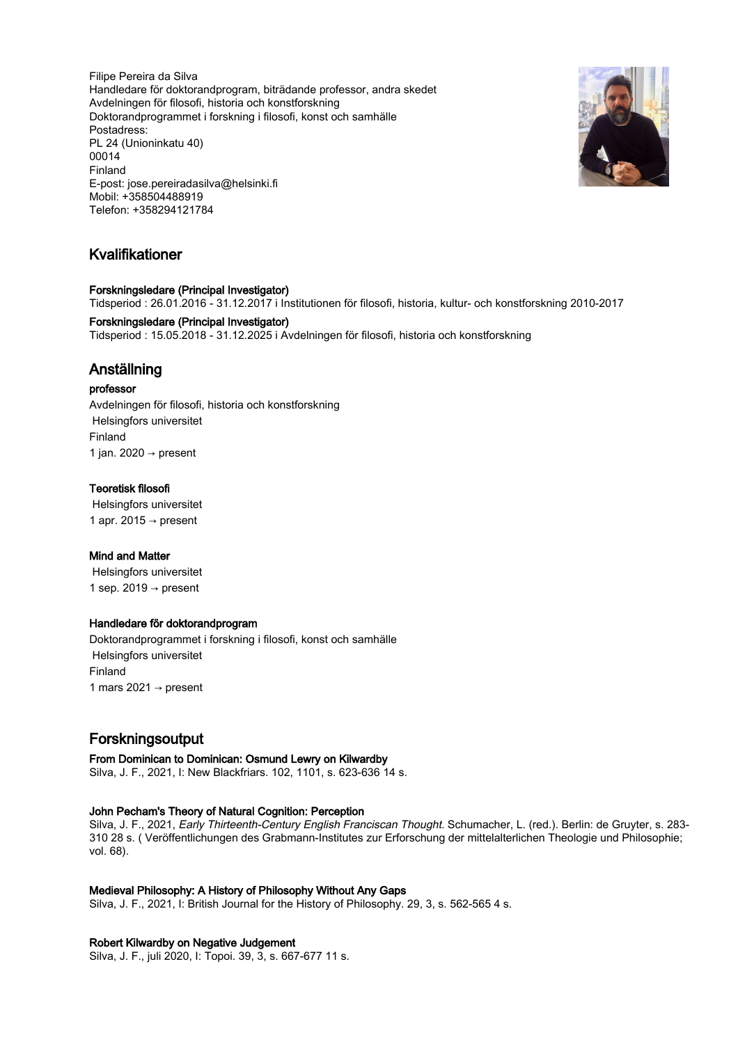Filipe Pereira da Silva Handledare för doktorandprogram, biträdande professor, andra skedet Avdelningen för filosofi, historia och konstforskning Doktorandprogrammet i forskning i filosofi, konst och samhälle Postadress: PL 24 (Unioninkatu 40) 00014 Finland E-post: jose.pereiradasilva@helsinki.fi Mobil: +358504488919 Telefon: +358294121784



# Kvalifikationer

## Forskningsledare (Principal Investigator)

Tidsperiod : 26.01.2016 - 31.12.2017 i Institutionen för filosofi, historia, kultur- och konstforskning 2010-2017

## Forskningsledare (Principal Investigator)

Tidsperiod : 15.05.2018 - 31.12.2025 i Avdelningen för filosofi, historia och konstforskning

# Anställning

## professor

Avdelningen för filosofi, historia och konstforskning Helsingfors universitet Finland 1 jan. 2020 → present

## Teoretisk filosofi

 Helsingfors universitet 1 apr. 2015  $\rightarrow$  present

## Mind and Matter

 Helsingfors universitet 1 sep. 2019  $\rightarrow$  present

## Handledare för doktorandprogram

Doktorandprogrammet i forskning i filosofi, konst och samhälle Helsingfors universitet Finland 1 mars 2021 → present

# Forskningsoutput

## From Dominican to Dominican: Osmund Lewry on Kilwardby

Silva, J. F., 2021, I: New Blackfriars. 102, 1101, s. 623-636 14 s.

## John Pecham's Theory of Natural Cognition: Perception

Silva, J. F., 2021, Early Thirteenth-Century English Franciscan Thought. Schumacher, L. (red.). Berlin: de Gruyter, s. 283- 310 28 s. ( Veröffentlichungen des Grabmann-Institutes zur Erforschung der mittelalterlichen Theologie und Philosophie; vol. 68).

### Medieval Philosophy: A History of Philosophy Without Any Gaps

Silva, J. F., 2021, I: British Journal for the History of Philosophy. 29, 3, s. 562-565 4 s.

## Robert Kilwardby on Negative Judgement

Silva, J. F., juli 2020, I: Topoi. 39, 3, s. 667-677 11 s.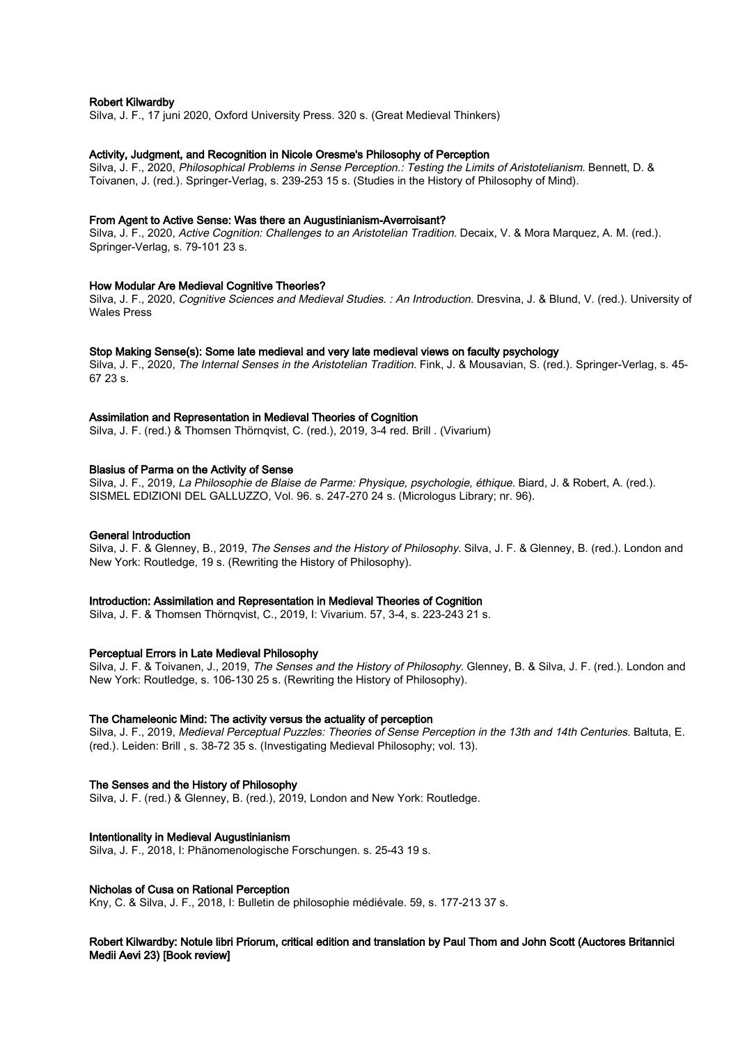#### Robert Kilwardby

Silva, J. F., 17 juni 2020, Oxford University Press. 320 s. (Great Medieval Thinkers)

## Activity, Judgment, and Recognition in Nicole Oresme's Philosophy of Perception

Silva, J. F., 2020, Philosophical Problems in Sense Perception.: Testing the Limits of Aristotelianism. Bennett, D. & Toivanen, J. (red.). Springer-Verlag, s. 239-253 15 s. (Studies in the History of Philosophy of Mind).

#### From Agent to Active Sense: Was there an Augustinianism-Averroisant?

Silva, J. F., 2020, Active Cognition: Challenges to an Aristotelian Tradition, Decaix, V. & Mora Marquez, A. M. (red.). Springer-Verlag, s. 79-101 23 s.

#### How Modular Are Medieval Cognitive Theories?

Silva, J. F., 2020, Cognitive Sciences and Medieval Studies. : An Introduction. Dresvina, J. & Blund, V. (red.). University of Wales Press

#### Stop Making Sense(s): Some late medieval and very late medieval views on faculty psychology

Silva, J. F., 2020, The Internal Senses in the Aristotelian Tradition. Fink, J. & Mousavian, S. (red.). Springer-Verlag, s. 45- 67 23 s.

## Assimilation and Representation in Medieval Theories of Cognition

Silva, J. F. (red.) & Thomsen Thörnqvist, C. (red.), 2019, 3-4 red. Brill . (Vivarium)

#### Blasius of Parma on the Activity of Sense

Silva, J. F., 2019, La Philosophie de Blaise de Parme: Physique, psychologie, éthique. Biard, J. & Robert, A. (red.). SISMEL EDIZIONI DEL GALLUZZO, Vol. 96. s. 247-270 24 s. (Micrologus Library; nr. 96).

#### General Introduction

Silva, J. F. & Glenney, B., 2019, The Senses and the History of Philosophy. Silva, J. F. & Glenney, B. (red.). London and New York: Routledge, 19 s. (Rewriting the History of Philosophy).

#### Introduction: Assimilation and Representation in Medieval Theories of Cognition

Silva, J. F. & Thomsen Thörnqvist, C., 2019, I: Vivarium. 57, 3-4, s. 223-243 21 s.

## Perceptual Errors in Late Medieval Philosophy

Silva, J. F. & Toivanen, J., 2019, The Senses and the History of Philosophy. Glenney, B. & Silva, J. F. (red.). London and New York: Routledge, s. 106-130 25 s. (Rewriting the History of Philosophy).

#### The Chameleonic Mind: The activity versus the actuality of perception

Silva, J. F., 2019, Medieval Perceptual Puzzles: Theories of Sense Perception in the 13th and 14th Centuries. Baltuta, E. (red.). Leiden: Brill , s. 38-72 35 s. (Investigating Medieval Philosophy; vol. 13).

## The Senses and the History of Philosophy

Silva, J. F. (red.) & Glenney, B. (red.), 2019, London and New York: Routledge.

#### Intentionality in Medieval Augustinianism

Silva, J. F., 2018, I: Phänomenologische Forschungen. s. 25-43 19 s.

#### Nicholas of Cusa on Rational Perception

Kny, C. & Silva, J. F., 2018, I: Bulletin de philosophie médiévale. 59, s. 177-213 37 s.

Robert Kilwardby: Notule libri Priorum, critical edition and translation by Paul Thom and John Scott (Auctores Britannici Medii Aevi 23) [Book review]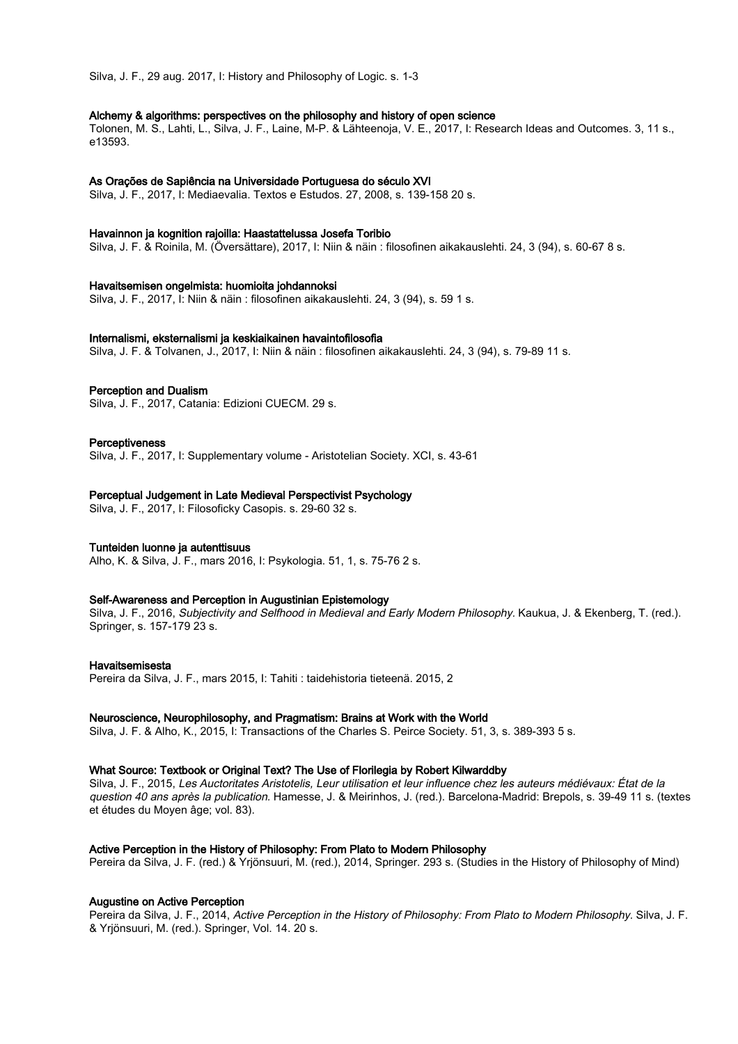Silva, J. F., 29 aug. 2017, I: History and Philosophy of Logic. s. 1-3

#### Alchemy & algorithms: perspectives on the philosophy and history of open science

Tolonen, M. S., Lahti, L., Silva, J. F., Laine, M-P. & Lähteenoja, V. E., 2017, I: Research Ideas and Outcomes. 3, 11 s., e13593.

#### As Orações de Sapiência na Universidade Portuguesa do século XVI

Silva, J. F., 2017, I: Mediaevalia. Textos e Estudos. 27, 2008, s. 139-158 20 s.

#### Havainnon ja kognition rajoilla: Haastattelussa Josefa Toribio

Silva, J. F. & Roinila, M. (Översättare), 2017, I: Niin & näin : filosofinen aikakauslehti. 24, 3 (94), s. 60-67 8 s.

### Havaitsemisen ongelmista: huomioita johdannoksi

Silva, J. F., 2017, I: Niin & näin : filosofinen aikakauslehti. 24, 3 (94), s. 59 1 s.

#### Internalismi, eksternalismi ja keskiaikainen havaintofilosofia

Silva, J. F. & Tolvanen, J., 2017, I: Niin & näin : filosofinen aikakauslehti. 24, 3 (94), s. 79-89 11 s.

#### Perception and Dualism

Silva, J. F., 2017, Catania: Edizioni CUECM. 29 s.

#### **Perceptiveness**

Silva, J. F., 2017, I: Supplementary volume - Aristotelian Society. XCI, s. 43-61

#### Perceptual Judgement in Late Medieval Perspectivist Psychology

Silva, J. F., 2017, I: Filosoficky Casopis. s. 29-60 32 s.

#### Tunteiden luonne ja autenttisuus

Alho, K. & Silva, J. F., mars 2016, I: Psykologia. 51, 1, s. 75-76 2 s.

### Self-Awareness and Perception in Augustinian Epistemology

Silva, J. F., 2016, Subjectivity and Selfhood in Medieval and Early Modern Philosophy. Kaukua, J. & Ekenberg, T. (red.). Springer, s. 157-179 23 s.

#### Havaitsemisesta

Pereira da Silva, J. F., mars 2015, I: Tahiti : taidehistoria tieteenä. 2015, 2

#### Neuroscience, Neurophilosophy, and Pragmatism: Brains at Work with the World

Silva, J. F. & Alho, K., 2015, I: Transactions of the Charles S. Peirce Society. 51, 3, s. 389-393 5 s.

## What Source: Textbook or Original Text? The Use of Florilegia by Robert Kilwarddby

Silva, J. F., 2015, Les Auctoritates Aristotelis, Leur utilisation et leur influence chez les auteurs médiévaux: État de la question 40 ans après la publication. Hamesse, J. & Meirinhos, J. (red.). Barcelona-Madrid: Brepols, s. 39-49 11 s. (textes et études du Moyen âge; vol. 83).

## Active Perception in the History of Philosophy: From Plato to Modern Philosophy

Pereira da Silva, J. F. (red.) & Yrjönsuuri, M. (red.), 2014, Springer. 293 s. (Studies in the History of Philosophy of Mind)

## Augustine on Active Perception

Pereira da Silva, J. F., 2014, Active Perception in the History of Philosophy: From Plato to Modern Philosophy. Silva, J. F. & Yrjönsuuri, M. (red.). Springer, Vol. 14. 20 s.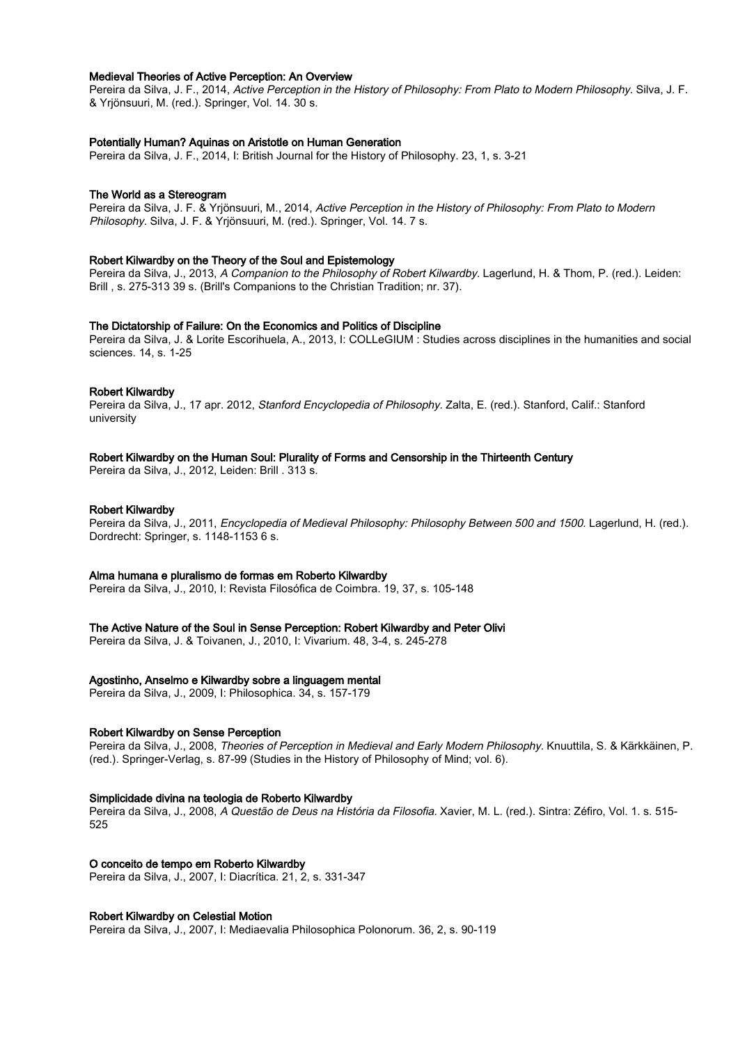## Medieval Theories of Active Perception: An Overview

Pereira da Silva, J. F., 2014, Active Perception in the History of Philosophy: From Plato to Modern Philosophy. Silva, J. F. & Yrjönsuuri, M. (red.). Springer, Vol. 14. 30 s.

#### Potentially Human? Aquinas on Aristotle on Human Generation

Pereira da Silva, J. F., 2014, I: British Journal for the History of Philosophy. 23, 1, s. 3-21

#### The World as a Stereogram

Pereira da Silva, J. F. & Yrjönsuuri, M., 2014, Active Perception in the History of Philosophy: From Plato to Modern Philosophy. Silva, J. F. & Yrjönsuuri, M. (red.). Springer, Vol. 14. 7 s.

#### Robert Kilwardby on the Theory of the Soul and Epistemology

Pereira da Silva, J., 2013, A Companion to the Philosophy of Robert Kilwardby. Lagerlund, H. & Thom, P. (red.). Leiden: Brill , s. 275-313 39 s. (Brill's Companions to the Christian Tradition; nr. 37).

#### The Dictatorship of Failure: On the Economics and Politics of Discipline

Pereira da Silva, J. & Lorite Escorihuela, A., 2013, I: COLLeGIUM : Studies across disciplines in the humanities and social sciences. 14, s. 1-25

#### Robert Kilwardby

Pereira da Silva, J., 17 apr. 2012, Stanford Encyclopedia of Philosophy. Zalta, E. (red.). Stanford, Calif.: Stanford university

## Robert Kilwardby on the Human Soul: Plurality of Forms and Censorship in the Thirteenth Century

Pereira da Silva, J., 2012, Leiden: Brill . 313 s.

#### Robert Kilwardby

Pereira da Silva, J., 2011, Encyclopedia of Medieval Philosophy: Philosophy Between 500 and 1500. Lagerlund, H. (red.). Dordrecht: Springer, s. 1148-1153 6 s.

#### Alma humana e pluralismo de formas em Roberto Kilwardby

Pereira da Silva, J., 2010, I: Revista Filosófica de Coimbra. 19, 37, s. 105-148

### The Active Nature of the Soul in Sense Perception: Robert Kilwardby and Peter Olivi

Pereira da Silva, J. & Toivanen, J., 2010, I: Vivarium. 48, 3-4, s. 245-278

## Agostinho, Anselmo e Kilwardby sobre a linguagem mental

Pereira da Silva, J., 2009, I: Philosophica. 34, s. 157-179

#### Robert Kilwardby on Sense Perception

Pereira da Silva, J., 2008, Theories of Perception in Medieval and Early Modern Philosophy. Knuuttila, S. & Kärkkäinen, P. (red.). Springer-Verlag, s. 87-99 (Studies in the History of Philosophy of Mind; vol. 6).

#### Simplicidade divina na teologia de Roberto Kilwardby

Pereira da Silva, J., 2008, A Questão de Deus na História da Filosofia. Xavier, M. L. (red.). Sintra: Zéfiro, Vol. 1. s. 515-525

#### O conceito de tempo em Roberto Kilwardby

Pereira da Silva, J., 2007, I: Diacrítica. 21, 2, s. 331-347

### Robert Kilwardby on Celestial Motion

Pereira da Silva, J., 2007, I: Mediaevalia Philosophica Polonorum. 36, 2, s. 90-119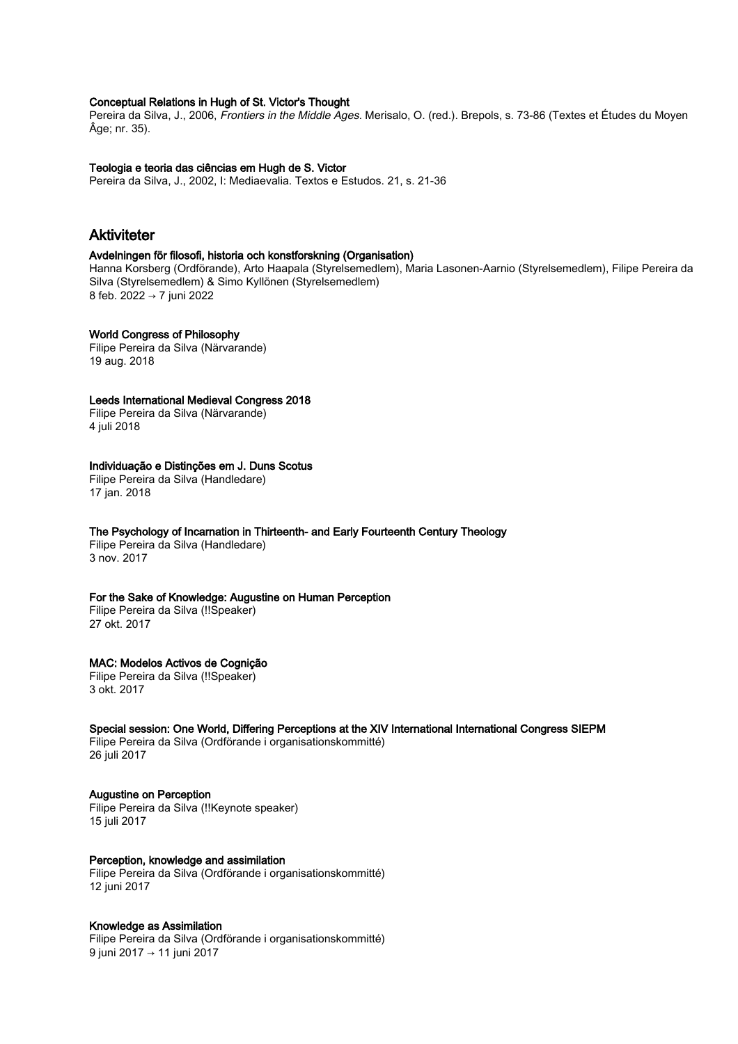## Conceptual Relations in Hugh of St. Victor's Thought

Pereira da Silva, J., 2006, Frontiers in the Middle Ages. Merisalo, O. (red.). Brepols, s. 73-86 (Textes et Études du Moyen Âge; nr. 35).

#### Teologia e teoria das ciências em Hugh de S. Victor

Pereira da Silva, J., 2002, I: Mediaevalia. Textos e Estudos. 21, s. 21-36

# Aktiviteter

## Avdelningen för filosofi, historia och konstforskning (Organisation)

Hanna Korsberg (Ordförande), Arto Haapala (Styrelsemedlem), Maria Lasonen-Aarnio (Styrelsemedlem), Filipe Pereira da Silva (Styrelsemedlem) & Simo Kyllönen (Styrelsemedlem) 8 feb. 2022 → 7 juni 2022

### World Congress of Philosophy

Filipe Pereira da Silva (Närvarande) 19 aug. 2018

## Leeds International Medieval Congress 2018

Filipe Pereira da Silva (Närvarande) 4 juli 2018

#### Individuação e Distinções em J. Duns Scotus

Filipe Pereira da Silva (Handledare) 17 jan. 2018

#### The Psychology of Incarnation in Thirteenth- and Early Fourteenth Century Theology

Filipe Pereira da Silva (Handledare) 3 nov. 2017

### For the Sake of Knowledge: Augustine on Human Perception

Filipe Pereira da Silva (!!Speaker) 27 okt. 2017

#### MAC: Modelos Activos de Cognição

Filipe Pereira da Silva (!!Speaker) 3 okt. 2017

## Special session: One World, Differing Perceptions at the XIV International International Congress SIEPM

Filipe Pereira da Silva (Ordförande i organisationskommitté) 26 juli 2017

## Augustine on Perception

Filipe Pereira da Silva (!!Keynote speaker) 15 juli 2017

## Perception, knowledge and assimilation

Filipe Pereira da Silva (Ordförande i organisationskommitté) 12 juni 2017

#### Knowledge as Assimilation

Filipe Pereira da Silva (Ordförande i organisationskommitté) 9 juni 2017 → 11 juni 2017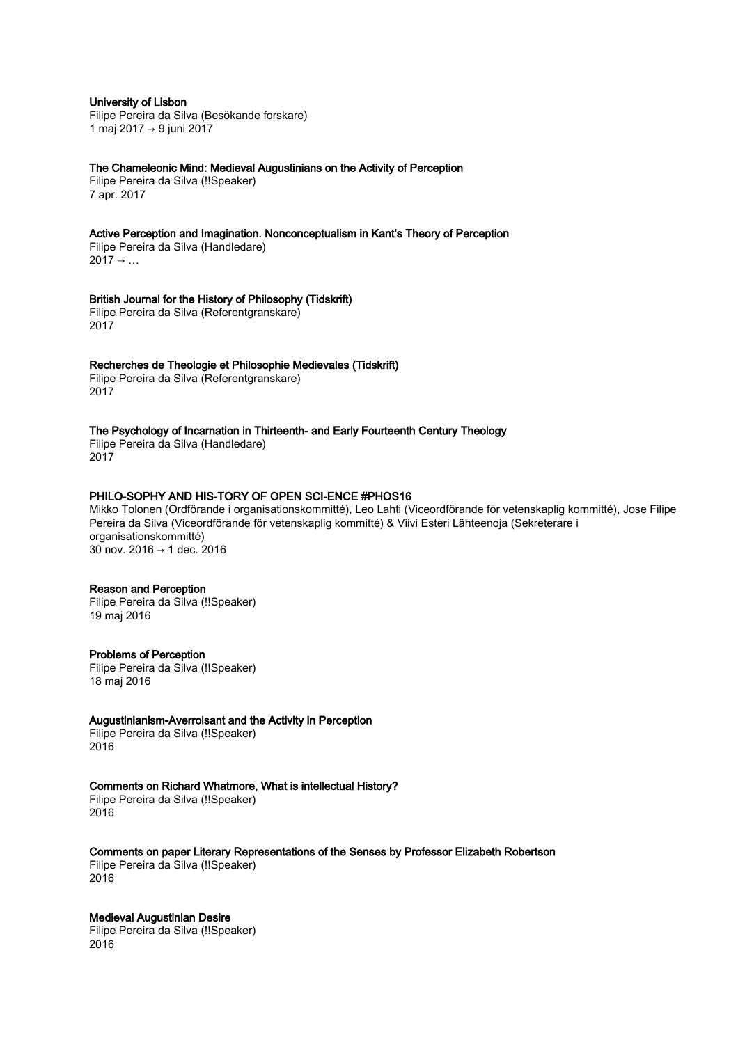University of Lisbon

Filipe Pereira da Silva (Besökande forskare) 1 maj 2017 → 9 juni 2017

The Chameleonic Mind: Medieval Augustinians on the Activity of Perception

Filipe Pereira da Silva (!!Speaker) 7 apr. 2017

Active Perception and Imagination. Nonconceptualism in Kant's Theory of Perception

Filipe Pereira da Silva (Handledare)  $2017 \rightarrow ...$ 

## British Journal for the History of Philosophy (Tidskrift)

Filipe Pereira da Silva (Referentgranskare) 2017

## Recherches de Theologie et Philosophie Medievales (Tidskrift)

Filipe Pereira da Silva (Referentgranskare) 2017

## The Psychology of Incarnation in Thirteenth- and Early Fourteenth Century Theology

Filipe Pereira da Silva (Handledare) 2017

## PHILO-SOPHY AND HIS-TORY OF OPEN SCI-ENCE #PHOS16

Mikko Tolonen (Ordförande i organisationskommitté), Leo Lahti (Viceordförande för vetenskaplig kommitté), Jose Filipe Pereira da Silva (Viceordförande för vetenskaplig kommitté) & Viivi Esteri Lähteenoja (Sekreterare i organisationskommitté) 30 nov. 2016 → 1 dec. 2016

## Reason and Perception

Filipe Pereira da Silva (!!Speaker) 19 maj 2016

## Problems of Perception

Filipe Pereira da Silva (!!Speaker) 18 maj 2016

## Augustinianism-Averroisant and the Activity in Perception

Filipe Pereira da Silva (!!Speaker) 2016

## Comments on Richard Whatmore, What is intellectual History?

Filipe Pereira da Silva (!!Speaker) 2016

# Comments on paper Literary Representations of the Senses by Professor Elizabeth Robertson

Filipe Pereira da Silva (!!Speaker) 2016

## Medieval Augustinian Desire

Filipe Pereira da Silva (!!Speaker) 2016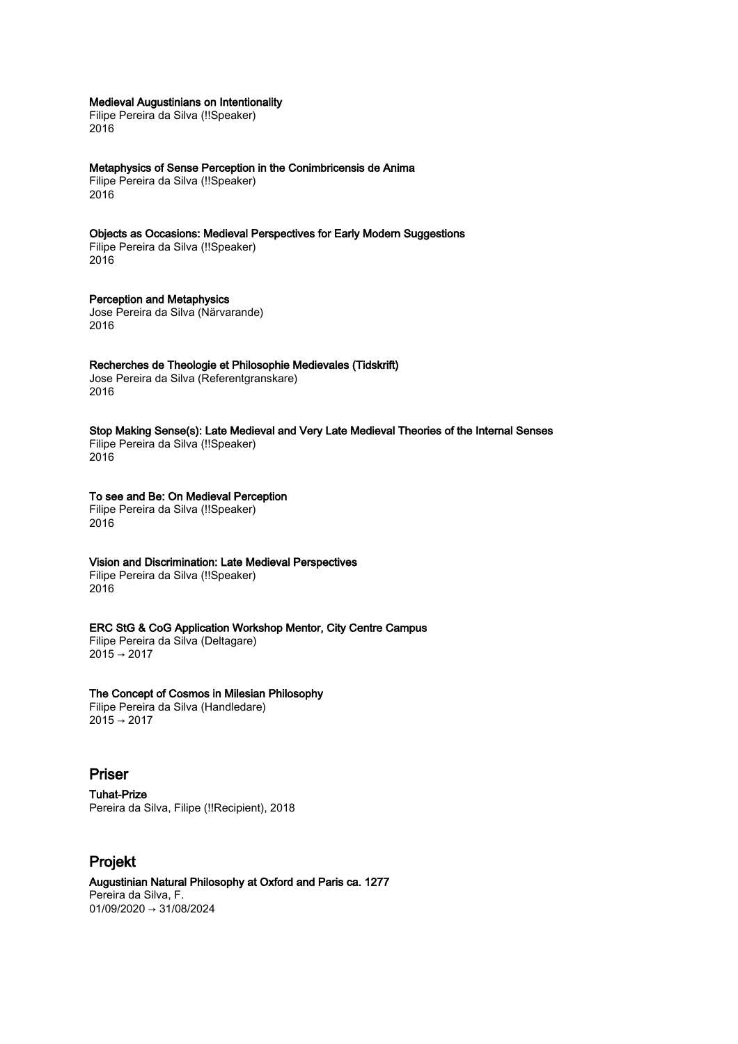## Medieval Augustinians on Intentionality

Filipe Pereira da Silva (!!Speaker) 2016

Metaphysics of Sense Perception in the Conimbricensis de Anima Filipe Pereira da Silva (!!Speaker)

2016

Objects as Occasions: Medieval Perspectives for Early Modern Suggestions

Filipe Pereira da Silva (!!Speaker) 2016

Perception and Metaphysics Jose Pereira da Silva (Närvarande) 2016

## Recherches de Theologie et Philosophie Medievales (Tidskrift)

Jose Pereira da Silva (Referentgranskare) 2016

## Stop Making Sense(s): Late Medieval and Very Late Medieval Theories of the Internal Senses

Filipe Pereira da Silva (!!Speaker) 2016

# To see and Be: On Medieval Perception

Filipe Pereira da Silva (!!Speaker) 2016

# Vision and Discrimination: Late Medieval Perspectives

Filipe Pereira da Silva (!!Speaker) 2016

## ERC StG & CoG Application Workshop Mentor, City Centre Campus

Filipe Pereira da Silva (Deltagare) 2015 → 2017

## The Concept of Cosmos in Milesian Philosophy

Filipe Pereira da Silva (Handledare)  $2015 \rightarrow 2017$ 

# Priser

Tuhat-Prize Pereira da Silva, Filipe (!!Recipient), 2018

# Projekt

#### Augustinian Natural Philosophy at Oxford and Paris ca. 1277 Pereira da Silva, F. 01/09/2020 → 31/08/2024